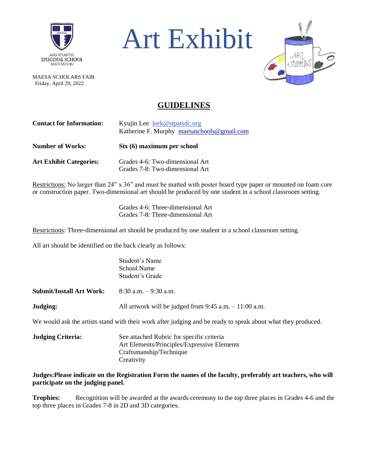

MAESA SCHOLARS FAIR Friday, April 29, 2022





## **GUIDELINES**

| <b>Contact for Information:</b> | Kyujin Lee leek@stpatsdc.org<br>Katherine F. Murphy maesaschools@gmail.com |  |  |  |  |
|---------------------------------|----------------------------------------------------------------------------|--|--|--|--|
| <b>Number of Works:</b>         | Six (6) maximum per school                                                 |  |  |  |  |
| <b>Art Exhibit Categories:</b>  | Grades 4-6: Two-dimensional Art<br>Grades 7-8: Two-dimensional Art         |  |  |  |  |

Restrictions: No larger than 24" x 36" and must be matted with poster board type paper or mounted on foam core or construction paper. Two-dimensional art should be produced by one student in a school classroom setting.

> Grades 4-6: Three-dimensional Art Grades 7-8: Three-dimensional Art

Restrictions: Three-dimensional art should be produced by one student in a school classroom setting.

All art should be identified on the back clearly as follows:

Student's Name School Name Student's Grade

**Submit/Install Art Work:** 8:30 a.m. – 9:30 a.m.

**Judging:** All artwork will be judged from 9:45 a.m. – 11:00 a.m.

We would ask the artists stand with their work after judging and be ready to speak about what they produced.

| <b>Judging Criteria:</b> | See attached Rubric for specific criteria   |
|--------------------------|---------------------------------------------|
|                          | Art Elements/Principles/Expressive Elements |
|                          | Craftsmanship/Technique                     |
|                          | Creativity                                  |

**Judges:Please indicate on the Registration Form the names of the faculty, preferably art teachers, who will participate on the judging panel.**

**Trophies:** Recognition will be awarded at the awards ceremony to the top three places in Grades 4-6 and the top three places in Grades 7-8 in 2D and 3D categories.